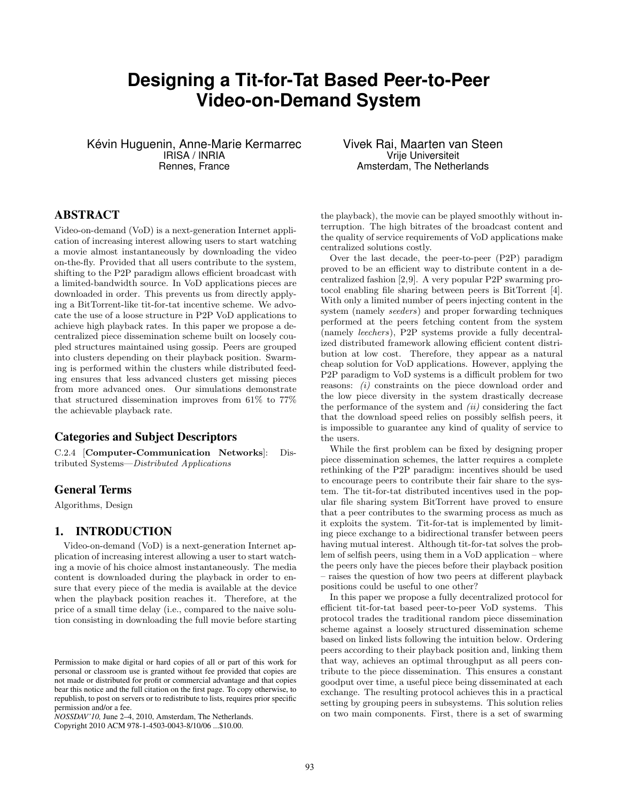# **Designing a Tit-for-Tat Based Peer-to-Peer Video-on-Demand System**

Kévin Huguenin, Anne-Marie Kermarrec IRISA / INRIA Rennes, France

Vivek Rai, Maarten van Steen Vrije Universiteit Amsterdam, The Netherlands

# **ABSTRACT**

Video-on-demand (VoD) is a next-generation Internet application of increasing interest allowing users to start watching a movie almost instantaneously by downloading the video on-the-fly. Provided that all users contribute to the system, shifting to the P2P paradigm allows efficient broadcast with a limited-bandwidth source. In VoD applications pieces are downloaded in order. This prevents us from directly applying a BitTorrent-like tit-for-tat incentive scheme. We advocate the use of a loose structure in P2P VoD applications to achieve high playback rates. In this paper we propose a decentralized piece dissemination scheme built on loosely coupled structures maintained using gossip. Peers are grouped into clusters depending on their playback position. Swarming is performed within the clusters while distributed feeding ensures that less advanced clusters get missing pieces from more advanced ones. Our simulations demonstrate that structured dissemination improves from 61% to 77% the achievable playback rate.

#### **Categories and Subject Descriptors**

C.2.4 [Computer-Communication Networks]: Distributed Systems—Distributed Applications

# **General Terms**

Algorithms, Design

# **1. INTRODUCTION**

Video-on-demand (VoD) is a next-generation Internet application of increasing interest allowing a user to start watching a movie of his choice almost instantaneously. The media content is downloaded during the playback in order to ensure that every piece of the media is available at the device when the playback position reaches it. Therefore, at the price of a small time delay (i.e., compared to the naive solution consisting in downloading the full movie before starting

Copyright 2010 ACM 978-1-4503-0043-8/10/06 ...\$10.00.

the playback), the movie can be played smoothly without interruption. The high bitrates of the broadcast content and the quality of service requirements of VoD applications make centralized solutions costly.

Over the last decade, the peer-to-peer (P2P) paradigm proved to be an efficient way to distribute content in a decentralized fashion [2,9]. A very popular P2P swarming protocol enabling file sharing between peers is BitTorrent [4]. With only a limited number of peers injecting content in the system (namely seeders) and proper forwarding techniques performed at the peers fetching content from the system (namely leechers), P2P systems provide a fully decentralized distributed framework allowing efficient content distribution at low cost. Therefore, they appear as a natural cheap solution for VoD applications. However, applying the P2P paradigm to VoD systems is a difficult problem for two reasons: (i) constraints on the piece download order and the low piece diversity in the system drastically decrease the performance of the system and  $(ii)$  considering the fact that the download speed relies on possibly selfish peers, it is impossible to guarantee any kind of quality of service to the users.

While the first problem can be fixed by designing proper piece dissemination schemes, the latter requires a complete rethinking of the P2P paradigm: incentives should be used to encourage peers to contribute their fair share to the system. The tit-for-tat distributed incentives used in the popular file sharing system BitTorrent have proved to ensure that a peer contributes to the swarming process as much as it exploits the system. Tit-for-tat is implemented by limiting piece exchange to a bidirectional transfer between peers having mutual interest. Although tit-for-tat solves the problem of selfish peers, using them in a VoD application – where the peers only have the pieces before their playback position – raises the question of how two peers at different playback positions could be useful to one other?

In this paper we propose a fully decentralized protocol for efficient tit-for-tat based peer-to-peer VoD systems. This protocol trades the traditional random piece dissemination scheme against a loosely structured dissemination scheme based on linked lists following the intuition below. Ordering peers according to their playback position and, linking them that way, achieves an optimal throughput as all peers contribute to the piece dissemination. This ensures a constant goodput over time, a useful piece being disseminated at each exchange. The resulting protocol achieves this in a practical setting by grouping peers in subsystems. This solution relies on two main components. First, there is a set of swarming

Permission to make digital or hard copies of all or part of this work for personal or classroom use is granted without fee provided that copies are not made or distributed for profit or commercial advantage and that copies bear this notice and the full citation on the first page. To copy otherwise, to republish, to post on servers or to redistribute to lists, requires prior specific permission and/or a fee.

*NOSSDAV'10,* June 2–4, 2010, Amsterdam, The Netherlands.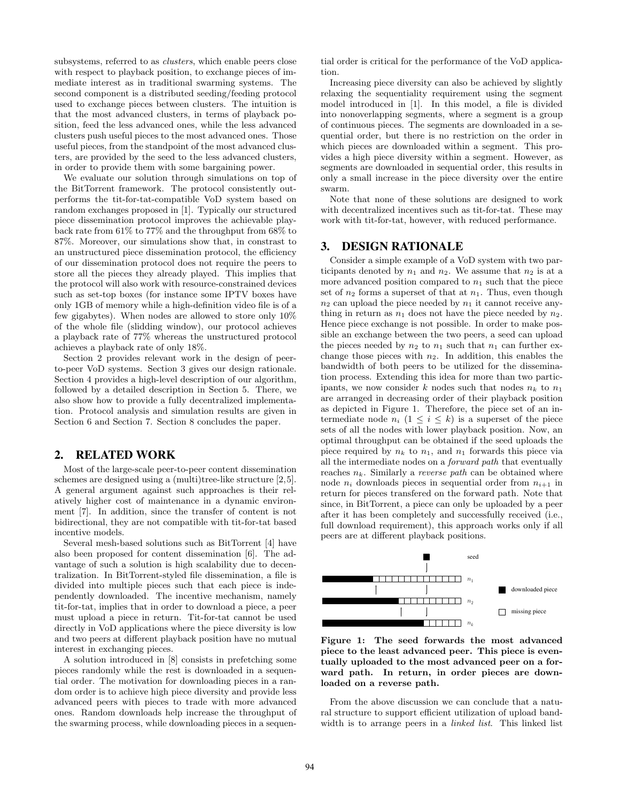subsystems, referred to as *clusters*, which enable peers close with respect to playback position, to exchange pieces of immediate interest as in traditional swarming systems. The second component is a distributed seeding/feeding protocol used to exchange pieces between clusters. The intuition is that the most advanced clusters, in terms of playback position, feed the less advanced ones, while the less advanced clusters push useful pieces to the most advanced ones. Those useful pieces, from the standpoint of the most advanced clusters, are provided by the seed to the less advanced clusters, in order to provide them with some bargaining power.

We evaluate our solution through simulations on top of the BitTorrent framework. The protocol consistently outperforms the tit-for-tat-compatible VoD system based on random exchanges proposed in [1]. Typically our structured piece dissemination protocol improves the achievable playback rate from 61% to 77% and the throughput from 68% to 87%. Moreover, our simulations show that, in constrast to an unstructured piece dissemination protocol, the efficiency of our dissemination protocol does not require the peers to store all the pieces they already played. This implies that the protocol will also work with resource-constrained devices such as set-top boxes (for instance some IPTV boxes have only 1GB of memory while a high-definition video file is of a few gigabytes). When nodes are allowed to store only 10% of the whole file (slidding window), our protocol achieves a playback rate of 77% whereas the unstructured protocol achieves a playback rate of only 18%.

Section 2 provides relevant work in the design of peerto-peer VoD systems. Section 3 gives our design rationale. Section 4 provides a high-level description of our algorithm, followed by a detailed description in Section 5. There, we also show how to provide a fully decentralized implementation. Protocol analysis and simulation results are given in Section 6 and Section 7. Section 8 concludes the paper.

## **2. RELATED WORK**

Most of the large-scale peer-to-peer content dissemination schemes are designed using a (multi)tree-like structure [2,5]. A general argument against such approaches is their relatively higher cost of maintenance in a dynamic environment [7]. In addition, since the transfer of content is not bidirectional, they are not compatible with tit-for-tat based incentive models.

Several mesh-based solutions such as BitTorrent [4] have also been proposed for content dissemination [6]. The advantage of such a solution is high scalability due to decentralization. In BitTorrent-styled file dissemination, a file is divided into multiple pieces such that each piece is independently downloaded. The incentive mechanism, namely tit-for-tat, implies that in order to download a piece, a peer must upload a piece in return. Tit-for-tat cannot be used directly in VoD applications where the piece diversity is low and two peers at different playback position have no mutual interest in exchanging pieces.

A solution introduced in [8] consists in prefetching some pieces randomly while the rest is downloaded in a sequential order. The motivation for downloading pieces in a random order is to achieve high piece diversity and provide less advanced peers with pieces to trade with more advanced ones. Random downloads help increase the throughput of the swarming process, while downloading pieces in a sequential order is critical for the performance of the VoD application.

Increasing piece diversity can also be achieved by slightly relaxing the sequentiality requirement using the segment model introduced in [1]. In this model, a file is divided into nonoverlapping segments, where a segment is a group of continuous pieces. The segments are downloaded in a sequential order, but there is no restriction on the order in which pieces are downloaded within a segment. This provides a high piece diversity within a segment. However, as segments are downloaded in sequential order, this results in only a small increase in the piece diversity over the entire swarm.

Note that none of these solutions are designed to work with decentralized incentives such as tit-for-tat. These may work with tit-for-tat, however, with reduced performance.

## **3. DESIGN RATIONALE**

Consider a simple example of a VoD system with two participants denoted by  $n_1$  and  $n_2$ . We assume that  $n_2$  is at a more advanced position compared to  $n_1$  such that the piece set of  $n_2$  forms a superset of that at  $n_1$ . Thus, even though  $n_2$  can upload the piece needed by  $n_1$  it cannot receive anything in return as  $n_1$  does not have the piece needed by  $n_2$ . Hence piece exchange is not possible. In order to make possible an exchange between the two peers, a seed can upload the pieces needed by  $n_2$  to  $n_1$  such that  $n_1$  can further exchange those pieces with  $n_2$ . In addition, this enables the bandwidth of both peers to be utilized for the dissemination process. Extending this idea for more than two participants, we now consider k nodes such that nodes  $n_k$  to  $n_1$ are arranged in decreasing order of their playback position as depicted in Figure 1. Therefore, the piece set of an intermediate node  $n_i$   $(1 \leq i \leq k)$  is a superset of the piece sets of all the nodes with lower playback position. Now, an optimal throughput can be obtained if the seed uploads the piece required by  $n_k$  to  $n_1$ , and  $n_1$  forwards this piece via all the intermediate nodes on a forward path that eventually reaches  $n_k$ . Similarly a *reverse path* can be obtained where node  $n_i$  downloads pieces in sequential order from  $n_{i+1}$  in return for pieces transfered on the forward path. Note that since, in BitTorrent, a piece can only be uploaded by a peer after it has been completely and successfully received (i.e., full download requirement), this approach works only if all peers are at different playback positions.



Figure 1: The seed forwards the most advanced piece to the least advanced peer. This piece is eventually uploaded to the most advanced peer on a forward path. In return, in order pieces are downloaded on a reverse path.

From the above discussion we can conclude that a natural structure to support efficient utilization of upload bandwidth is to arrange peers in a *linked list*. This linked list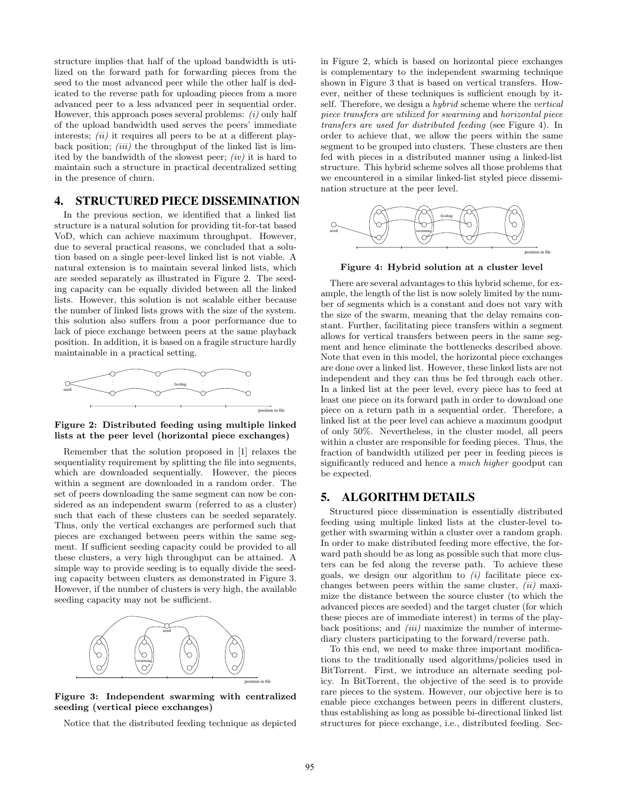structure implies that half of the upload bandwidth is utilized on the forward path for forwarding pieces from the seed to the most advanced peer while the other half is dedicated to the reverse path for uploading pieces from a more advanced peer to a less advanced peer in sequential order. However, this approach poses several problems:  $(i)$  only half of the upload bandwidth used serves the peers' immediate interests;  $(ii)$  it requires all peers to be at a different playback position;  $(iii)$  the throughput of the linked list is limited by the bandwidth of the slowest peer;  $(iv)$  it is hard to maintain such a structure in practical decentralized setting in the presence of churn.

# **4. STRUCTURED PIECE DISSEMINATION**

In the previous section, we identified that a linked list structure is a natural solution for providing tit-for-tat based VoD, which can achieve maximum throughput. However, due to several practical reasons, we concluded that a solution based on a single peer-level linked list is not viable. A natural extension is to maintain several linked lists, which are seeded separately as illustrated in Figure 2. The seeding capacity can be equally divided between all the linked lists. However, this solution is not scalable either because the number of linked lists grows with the size of the system. this solution also suffers from a poor performance due to lack of piece exchange between peers at the same playback position. In addition, it is based on a fragile structure hardly maintainable in a practical setting.



Figure 2: Distributed feeding using multiple linked lists at the peer level (horizontal piece exchanges)

Remember that the solution proposed in [1] relaxes the sequentiality requirement by splitting the file into segments, which are downloaded sequentially. However, the pieces within a segment are downloaded in a random order. The set of peers downloading the same segment can now be considered as an independent swarm (referred to as a cluster) such that each of these clusters can be seeded separately. Thus, only the vertical exchanges are performed such that pieces are exchanged between peers within the same segment. If sufficient seeding capacity could be provided to all these clusters, a very high throughput can be attained. A simple way to provide seeding is to equally divide the seeding capacity between clusters as demonstrated in Figure 3. However, if the number of clusters is very high, the available seeding capacity may not be sufficient.



Figure 3: Independent swarming with centralized seeding (vertical piece exchanges)

Notice that the distributed feeding technique as depicted

in Figure 2, which is based on horizontal piece exchanges is complementary to the independent swarming technique shown in Figure 3 that is based on vertical transfers. However, neither of these techniques is sufficient enough by itself. Therefore, we design a *hybrid* scheme where the *vertical* piece transfers are utilized for swarming and horizontal piece transfers are used for distributed feeding (see Figure 4). In order to achieve that, we allow the peers within the same segment to be grouped into clusters. These clusters are then fed with pieces in a distributed manner using a linked-list structure. This hybrid scheme solves all those problems that we encountered in a similar linked-list styled piece dissemination structure at the peer level.



Figure 4: Hybrid solution at a cluster level

There are several advantages to this hybrid scheme, for example, the length of the list is now solely limited by the number of segments which is a constant and does not vary with the size of the swarm, meaning that the delay remains constant. Further, facilitating piece transfers within a segment allows for vertical transfers between peers in the same segment and hence eliminate the bottlenecks described above. Note that even in this model, the horizontal piece exchanges are done over a linked list. However, these linked lists are not independent and they can thus be fed through each other. In a linked list at the peer level, every piece has to feed at least one piece on its forward path in order to download one piece on a return path in a sequential order. Therefore, a linked list at the peer level can achieve a maximum goodput of only 50%. Nevertheless, in the cluster model, all peers within a cluster are responsible for feeding pieces. Thus, the fraction of bandwidth utilized per peer in feeding pieces is significantly reduced and hence a much higher goodput can be expected.

#### **5. ALGORITHM DETAILS**

Structured piece dissemination is essentially distributed feeding using multiple linked lists at the cluster-level together with swarming within a cluster over a random graph. In order to make distributed feeding more effective, the forward path should be as long as possible such that more clusters can be fed along the reverse path. To achieve these goals, we design our algorithm to  $(i)$  facilitate piece exchanges between peers within the same cluster,  $(ii)$  maximize the distance between the source cluster (to which the advanced pieces are seeded) and the target cluster (for which these pieces are of immediate interest) in terms of the playback positions; and  $(iii)$  maximize the number of intermediary clusters participating to the forward/reverse path.

To this end, we need to make three important modifications to the traditionally used algorithms/policies used in BitTorrent. First, we introduce an alternate seeding policy. In BitTorrent, the objective of the seed is to provide rare pieces to the system. However, our objective here is to enable piece exchanges between peers in different clusters, thus establishing as long as possible bi-directional linked list structures for piece exchange, i.e., distributed feeding. Sec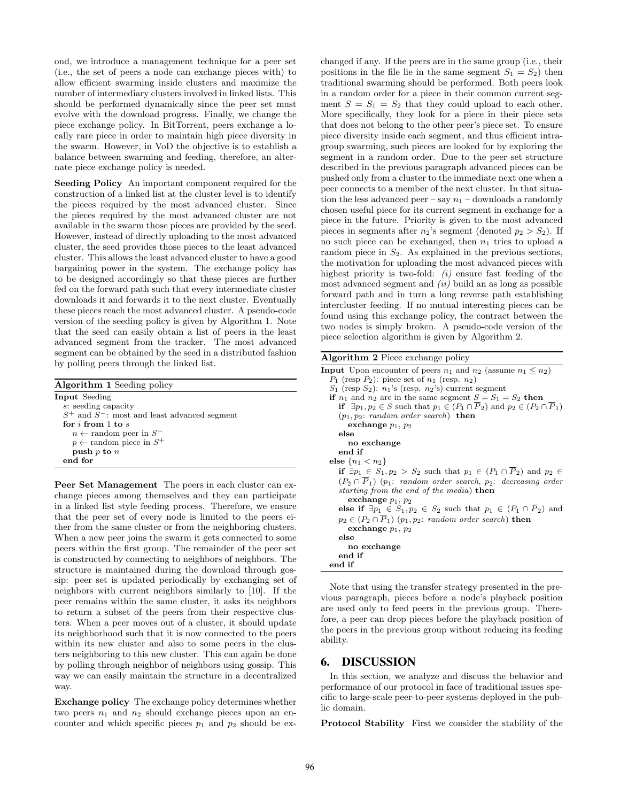ond, we introduce a management technique for a peer set (i.e., the set of peers a node can exchange pieces with) to allow efficient swarming inside clusters and maximize the number of intermediary clusters involved in linked lists. This should be performed dynamically since the peer set must evolve with the download progress. Finally, we change the piece exchange policy. In BitTorrent, peers exchange a locally rare piece in order to maintain high piece diversity in the swarm. However, in VoD the objective is to establish a balance between swarming and feeding, therefore, an alternate piece exchange policy is needed.

Seeding Policy An important component required for the construction of a linked list at the cluster level is to identify the pieces required by the most advanced cluster. Since the pieces required by the most advanced cluster are not available in the swarm those pieces are provided by the seed. However, instead of directly uploading to the most advanced cluster, the seed provides those pieces to the least advanced cluster. This allows the least advanced cluster to have a good bargaining power in the system. The exchange policy has to be designed accordingly so that these pieces are further fed on the forward path such that every intermediate cluster downloads it and forwards it to the next cluster. Eventually these pieces reach the most advanced cluster. A pseudo-code version of the seeding policy is given by Algorithm 1. Note that the seed can easily obtain a list of peers in the least advanced segment from the tracker. The most advanced segment can be obtained by the seed in a distributed fashion by polling peers through the linked list.

| <b>Algorithm 1</b> Seeding policy                      |
|--------------------------------------------------------|
| <b>Input</b> Seeding                                   |
| s: seeding capacity                                    |
| $S^+$ and $S^-{\rm :}$ most and least advanced segment |
| for $i$ from 1 to $s$                                  |
| $n \leftarrow$ random peer in $S^-$                    |
| $p \leftarrow$ random piece in $S^+$                   |
| push $p$ to $n$                                        |
| end for                                                |

Peer Set Management The peers in each cluster can exchange pieces among themselves and they can participate in a linked list style feeding process. Therefore, we ensure that the peer set of every node is limited to the peers either from the same cluster or from the neighboring clusters. When a new peer joins the swarm it gets connected to some peers within the first group. The remainder of the peer set is constructed by connecting to neighbors of neighbors. The structure is maintained during the download through gossip: peer set is updated periodically by exchanging set of neighbors with current neighbors similarly to [10]. If the peer remains within the same cluster, it asks its neighbors to return a subset of the peers from their respective clusters. When a peer moves out of a cluster, it should update its neighborhood such that it is now connected to the peers within its new cluster and also to some peers in the clusters neighboring to this new cluster. This can again be done by polling through neighbor of neighbors using gossip. This way we can easily maintain the structure in a decentralized way.

Exchange policy The exchange policy determines whether two peers  $n_1$  and  $n_2$  should exchange pieces upon an encounter and which specific pieces  $p_1$  and  $p_2$  should be exchanged if any. If the peers are in the same group (i.e., their positions in the file lie in the same segment  $S_1 = S_2$ ) then traditional swarming should be performed. Both peers look in a random order for a piece in their common current segment  $S = S_1 = S_2$  that they could upload to each other. More specifically, they look for a piece in their piece sets that does not belong to the other peer's piece set. To ensure piece diversity inside each segment, and thus efficient intragroup swarming, such pieces are looked for by exploring the segment in a random order. Due to the peer set structure described in the previous paragraph advanced pieces can be pushed only from a cluster to the immediate next one when a peer connects to a member of the next cluster. In that situation the less advanced peer – say  $n_1$  – downloads a randomly chosen useful piece for its current segment in exchange for a piece in the future. Priority is given to the most advanced pieces in segments after  $n_2$ 's segment (denoted  $p_2 > S_2$ ). If no such piece can be exchanged, then  $n_1$  tries to upload a random piece in  $S_2$ . As explained in the previous sections, the motivation for uploading the most advanced pieces with highest priority is two-fold:  $(i)$  ensure fast feeding of the most advanced segment and  $(ii)$  build an as long as possible forward path and in turn a long reverse path establishing intercluster feeding. If no mutual interesting pieces can be found using this exchange policy, the contract between the two nodes is simply broken. A pseudo-code version of the piece selection algorithm is given by Algorithm 2.

| <b>Algorithm 2</b> Piece exchange policy                                                                          |
|-------------------------------------------------------------------------------------------------------------------|
| <b>Input</b> Upon encounter of peers $n_1$ and $n_2$ (assume $n_1 \leq n_2$ )                                     |
| $P_1$ (resp $P_2$ ): piece set of $n_1$ (resp. $n_2$ )                                                            |
| $S_1$ (resp $S_2$ ): $n_1$ 's (resp. $n_2$ 's) current segment                                                    |
| if $n_1$ and $n_2$ are in the same segment $S = S_1 = S_2$ then                                                   |
| if $\exists p_1, p_2 \in S$ such that $p_1 \in (P_1 \cap \overline{P_2})$ and $p_2 \in (P_2 \cap \overline{P_1})$ |
| $(p_1, p_2: random \ order \ search)$ then                                                                        |
| exchange $p_1, p_2$                                                                                               |
| else                                                                                                              |
| no exchange                                                                                                       |
| end if                                                                                                            |
| else $\{n_1 < n_2\}$                                                                                              |
| if $\exists p_1 \in S_1, p_2 > S_2$ such that $p_1 \in (P_1 \cap P_2)$ and $p_2 \in$                              |
| $(P_2 \cap \overline{P_1})$ (p <sub>1</sub> : random order search, p <sub>2</sub> : decreasing order              |
| starting from the end of the media) then                                                                          |
| exchange $p_1, p_2$                                                                                               |
| else if $\exists p_1 \in S_1, p_2 \in S_2$ such that $p_1 \in (P_1 \cap \overline{P}_2)$ and                      |
| $p_2 \in (P_2 \cap \overline{P}_1)$ $(p_1, p_2: random \ order \ search)$ then                                    |
| exchange $p_1, p_2$                                                                                               |
| else                                                                                                              |
| no exchange                                                                                                       |
| end if                                                                                                            |
| end if                                                                                                            |

Note that using the transfer strategy presented in the previous paragraph, pieces before a node's playback position are used only to feed peers in the previous group. Therefore, a peer can drop pieces before the playback position of the peers in the previous group without reducing its feeding ability.

#### **6. DISCUSSION**

In this section, we analyze and discuss the behavior and performance of our protocol in face of traditional issues specific to large-scale peer-to-peer systems deployed in the public domain.

Protocol Stability First we consider the stability of the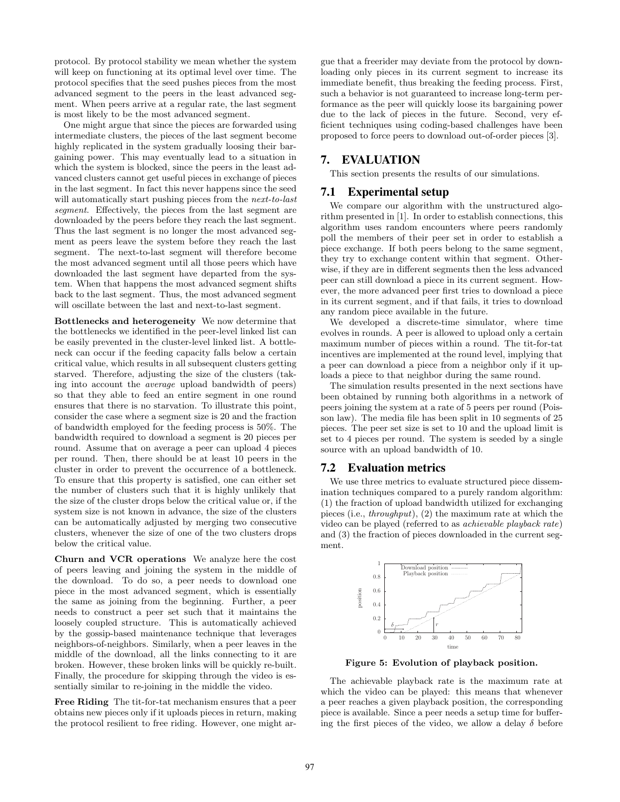protocol. By protocol stability we mean whether the system will keep on functioning at its optimal level over time. The protocol specifies that the seed pushes pieces from the most advanced segment to the peers in the least advanced segment. When peers arrive at a regular rate, the last segment is most likely to be the most advanced segment.

One might argue that since the pieces are forwarded using intermediate clusters, the pieces of the last segment become highly replicated in the system gradually loosing their bargaining power. This may eventually lead to a situation in which the system is blocked, since the peers in the least advanced clusters cannot get useful pieces in exchange of pieces in the last segment. In fact this never happens since the seed will automatically start pushing pieces from the *next-to-last* segment. Effectively, the pieces from the last segment are downloaded by the peers before they reach the last segment. Thus the last segment is no longer the most advanced segment as peers leave the system before they reach the last segment. The next-to-last segment will therefore become the most advanced segment until all those peers which have downloaded the last segment have departed from the system. When that happens the most advanced segment shifts back to the last segment. Thus, the most advanced segment will oscillate between the last and next-to-last segment.

Bottlenecks and heterogeneity We now determine that the bottlenecks we identified in the peer-level linked list can be easily prevented in the cluster-level linked list. A bottleneck can occur if the feeding capacity falls below a certain critical value, which results in all subsequent clusters getting starved. Therefore, adjusting the size of the clusters (taking into account the average upload bandwidth of peers) so that they able to feed an entire segment in one round ensures that there is no starvation. To illustrate this point, consider the case where a segment size is 20 and the fraction of bandwidth employed for the feeding process is 50%. The bandwidth required to download a segment is 20 pieces per round. Assume that on average a peer can upload 4 pieces per round. Then, there should be at least 10 peers in the cluster in order to prevent the occurrence of a bottleneck. To ensure that this property is satisfied, one can either set the number of clusters such that it is highly unlikely that the size of the cluster drops below the critical value or, if the system size is not known in advance, the size of the clusters can be automatically adjusted by merging two consecutive clusters, whenever the size of one of the two clusters drops below the critical value.

Churn and VCR operations We analyze here the cost of peers leaving and joining the system in the middle of the download. To do so, a peer needs to download one piece in the most advanced segment, which is essentially the same as joining from the beginning. Further, a peer needs to construct a peer set such that it maintains the loosely coupled structure. This is automatically achieved by the gossip-based maintenance technique that leverages neighbors-of-neighbors. Similarly, when a peer leaves in the middle of the download, all the links connecting to it are broken. However, these broken links will be quickly re-built. Finally, the procedure for skipping through the video is essentially similar to re-joining in the middle the video.

Free Riding The tit-for-tat mechanism ensures that a peer obtains new pieces only if it uploads pieces in return, making the protocol resilient to free riding. However, one might argue that a freerider may deviate from the protocol by downloading only pieces in its current segment to increase its immediate benefit, thus breaking the feeding process. First, such a behavior is not guaranteed to increase long-term performance as the peer will quickly loose its bargaining power due to the lack of pieces in the future. Second, very efficient techniques using coding-based challenges have been proposed to force peers to download out-of-order pieces [3].

#### **7. EVALUATION**

This section presents the results of our simulations.

#### **7.1 Experimental setup**

We compare our algorithm with the unstructured algorithm presented in [1]. In order to establish connections, this algorithm uses random encounters where peers randomly poll the members of their peer set in order to establish a piece exchange. If both peers belong to the same segment, they try to exchange content within that segment. Otherwise, if they are in different segments then the less advanced peer can still download a piece in its current segment. However, the more advanced peer first tries to download a piece in its current segment, and if that fails, it tries to download any random piece available in the future.

We developed a discrete-time simulator, where time evolves in rounds. A peer is allowed to upload only a certain maximum number of pieces within a round. The tit-for-tat incentives are implemented at the round level, implying that a peer can download a piece from a neighbor only if it uploads a piece to that neighbor during the same round.

The simulation results presented in the next sections have been obtained by running both algorithms in a network of peers joining the system at a rate of 5 peers per round (Poisson law). The media file has been split in 10 segments of 25 pieces. The peer set size is set to 10 and the upload limit is set to 4 pieces per round. The system is seeded by a single source with an upload bandwidth of 10.

## **7.2 Evaluation metrics**

We use three metrics to evaluate structured piece dissemination techniques compared to a purely random algorithm: (1) the fraction of upload bandwidth utilized for exchanging pieces (i.e., throughput), (2) the maximum rate at which the video can be played (referred to as achievable playback rate) and (3) the fraction of pieces downloaded in the current segment.



Figure 5: Evolution of playback position.

The achievable playback rate is the maximum rate at which the video can be played: this means that whenever a peer reaches a given playback position, the corresponding piece is available. Since a peer needs a setup time for buffering the first pieces of the video, we allow a delay  $\delta$  before